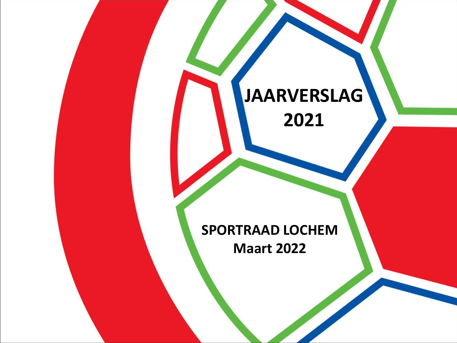# **JAARVERSLAG 2021 SPORTRAAD LOCHEM Maart 2022**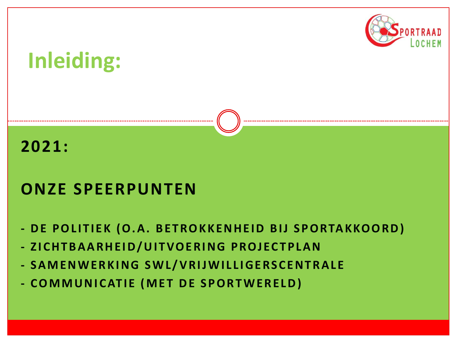

# **Inleiding:**

#### **2021:**

### **ONZE SPEERPUNTEN**

- **- DE POLITIEK (O.A. BETROKKENHEID BIJ SPORTAKKOORD)**
- **- Z I C H T B A A R H E I D / U I T VO E R I N G P R O J EC T P L A N**
- **- S A M E N W E R K I N G S W L / V R I J W I L L I G E R S C E N T R A L E**
- **- C O M M U N I C AT I E ( M E T D E S P O R T W E R E L D )**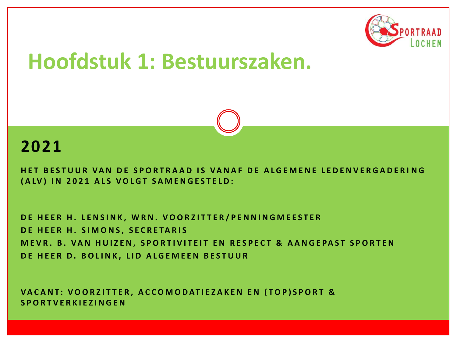

#### **2021**

**HET BESTUUR VAN DE SPORTRAAD IS VANAF DE ALGEMENE LEDENVERGADERING (ALV) IN 2021 ALS VOLGT SAMENGESTELD:** 

**D E H E E R H . L E N S I N K , W R N . V O O R Z I T T E R / P E N N I N G M E E S T E R D E H E E R H . S I M O N S , S E C R E TA R I S MEVR. B. VAN HUIZEN, SPORTIVITEIT EN RESPECT & AANGEPAST SPORTEN DE HEER D. BOLINK, LID ALGEMEEN BESTUUR** 

VACANT: VOORZITTER, ACCOMODATIEZAKEN EN (TOP)SPORT & **S P O R T V E R K I E Z I N G E N**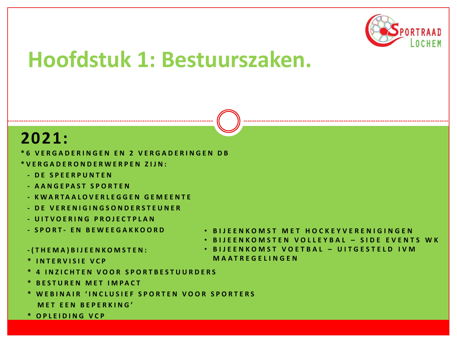

#### **2021:**

- **\* 6 V E R G A D E R I N G E N E N 2 V E R G A D E R I N G E N D B**
- **\* V E R G A D E R O N D E R W E R P E N Z I J N :**
	- **- D E S P E E R P U N T E N**
	- **- A A N G E P A S T S P O R T E N**
	- **- K W A R T A A L O V E R L E G G E N G E M E E N T E**
	- **- D E V E R E N I G I N G S O N D E R S T E U N E R**
	- **- U I T V O E R I N G P R O J E C T P L A N**
	- **- S P O R T - E N B E W E E G A K K O O R D**
- **B I J E E N K O M S T E N V O L L E Y B A L – S I D E E V E N T S W K** • **B I J E E N K O M S T V O E T B A L – U I T G E S T E L D I V M**

**M A A T R E G E L I N G E N**

• **B I J E E N K O M S T M E T H O C K E Y V E R E N I G I N G E N**

- **- ( T H E M A ) B I J E E N K O M S T E N :**
- **\* I N T E R V I S I E V C P**
- **\* 4 I N Z I C H T E N V O O R S P O R T B E S T U U R D E R S**
- **\* B E S T U R E N M E T I M P A C T**
- **\* W E B I N A I R ' I N C L U S I E F S P O R T E N V O O R S P O R T E R S M E T EEN B E P E R K I N G '**
- **\* O P L E I D I N G V C P**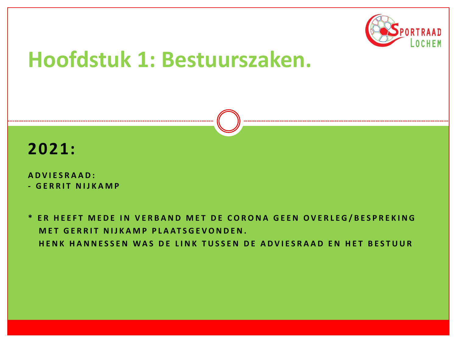



**A D V I E S R A A D : - GERRIT NIJKAMP** 

\* ER HEEFT MEDE IN VERBAND MET DE CORONA GEEN OVERLEG/BESPREKING **MET GERRIT NIJKAMP PLAATSGEVONDEN. HENK HANNESSEN WAS DE LINK TUSSEN DE ADVIESRAAD EN HET BESTUUR**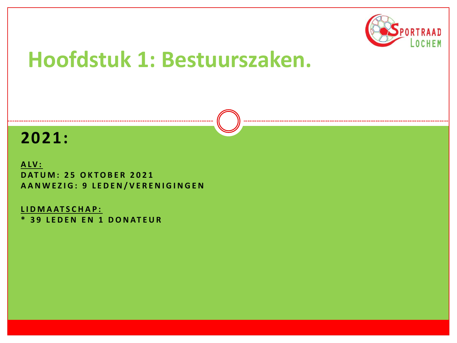

#### **2021:**

**A LV : D AT U M : 2 5 O K T O B E R 2 0 2 1 A A N W E Z I G : 9 L E D E N / V E R E N I G I N G E N**

**L I D M A AT S C H A P : \* 3 9 L E D E N E N 1 D O N AT E U R**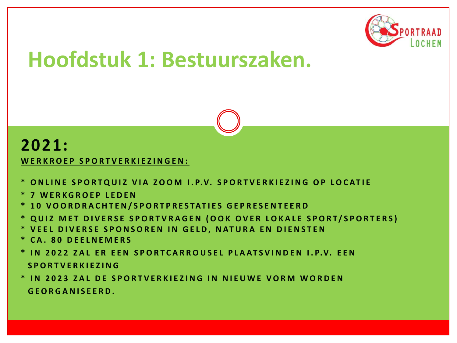

#### **2021:**

WERKROEP SPORTVERKIEZINGEN:

- \* ONLINE SPORTQUIZ VIA ZOOM I.P.V. SPORTVERKIEZING OP LOCATIE
- **\* 7 W E R K G R O E P L E D E N**
- **\* 1 0 V O O R D R A C H T E N / S P O R T P R E S TAT I E S G E P R E S E N T E E R D**
- \* QUIZ MET DIVERSE SPORTVRAGEN (OOK OVER LOKALE SPORT/SPORTERS)
- \* VEEL DIVERSE SPONSOREN IN GELD, NATURA EN DIENSTEN
- **\* C A . 8 0 D E E L N E M E R S**
- **\* I N 2 0 2 2 Z A L E R E E N S P O R T C A R R O U S E L P L A AT S V I N D E N I . P.V. E E N S P O R T V E R K I E Z I N G**
- \* IN 2023 ZAL DE SPORTVERKIEZING IN NIEUWE VORM WORDEN **G E O R G A N I S E E R D .**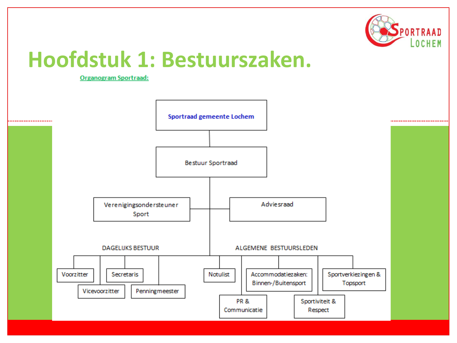

**Organogram Sportraad:** 

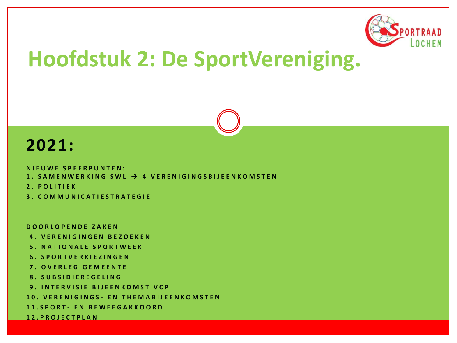

## **Hoofdstuk 2: De SportVereniging.**

#### **2021:**

**N I E U W E S P E E R P U N T E N :**

- **1 . S A M E N W E R K I N G S W L** → **4 V E R E N I G I N G S B I J E E N K O M S T E N**
- **2 . P O L I T I E K**
- **3 . C O M M U N I C A T I E S T R A T E G I E**

**D O O R L O P E N D E Z A K E N**

- **4 . V E R E N I G I N G E N B E Z O E K E N**
- **5 . N A T I O N A L E S P O R T W E E K**
- **6. S P O R T V E R K I E Z I N G E N**
- **7 . O V E R L E G G E M E E N T E**
- **8 . S U B S I D I E R E G E L I N G**
- **9 . I N T E R V I S I E B I J E E N K O M S T V C P**
- **1 0 . V E R E N I G I N G S - E N T H E M A B I J E E N K O M S T E N**
- **1 1 . S P O R T - E N B E W E E G A K K O O R D**

**1 2 . P R O J E C T P L A N**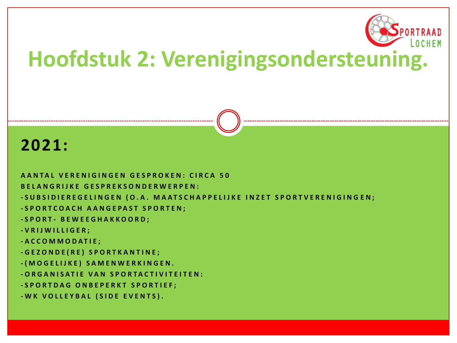

## **Hoofdstuk 2: Verenigingsondersteuning.**

#### **2021:**

**A A N T A L V E R E N I G I N G E N G E S P R O K E N : C I R C A 5 0 B E L A N G R I J K E G E S P R E K S O N D E R W E R P E N : - S U B S I D I E R E G E L I N G E N ( O . A . M A A T S C H A P P E L I J K E I N Z E T S P O R T V E R E N I G I N G E N ; - S P O R T C O A C H A A N G E P A S T S P O R T E N ; - S P O R T - B E W E E G H A K K O O R D ; - V R I J W I L L I G E R ; - A C C O M M O D A T I E ; - G E Z O N D E ( R E ) S P O R T K A N T I N E ; - ( M O G E L I J K E ) S A M E N W E R K I N G E N . - O R G A N I S A T I E V A N S P O R T A C T I V I T E I T E N : - S P O R T D A G O N B E P E R K T S P O R T I E F ; - W K V O L L E Y B A L ( S I D E E V E N T S ) .**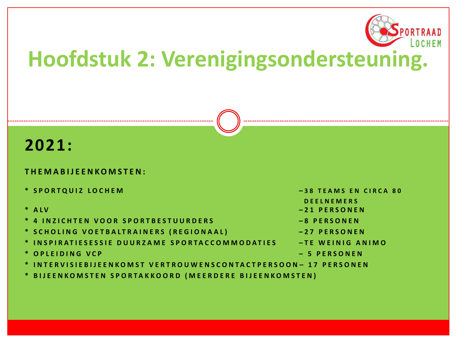

## **Hoofdstuk 2: Verenigingsondersteuning.**

#### **2021:**

#### **T H E M A B I J E E N K O M S T E N :**

- **\* S P O R T Q U I Z L O C H E M – 3 8 T E A M S E N C I R C A 8 0**
- 
- **\* 4 I N Z I C H T E N V O O R S P O R T B E S T U U R D E R S – 8 P E R S O N E N**
- **\* S C H O L I N G V O E T B A L T R A I N E R S ( R E G I O N A A L ) – 2 7 P E R S O N E N**
- **\* I N S P I R A T I E S E S S I E D U U R Z A M E S P O R T A C C O M M O D A T I E S – T E W E I N I G A N I M O**
- **\* O P L E I D I N G V C P – 5 P E R S O N E N**
- **\* I N T E R V I S I E B I J E E N K O M S T V E R T R O U W E N S C O N T A C T P E R S O O N – 1 7 P E R S O N E N**
- **\* B I J E E N K O M S T E N S P O R T A K K O O R D ( M E E R D E R E B I J E E N K O M S T E N )**
- 
- **D E E L N E M E R S**
- **\* A L V – 2 1 P E R S O N E N** 
	-
	-
	-
	-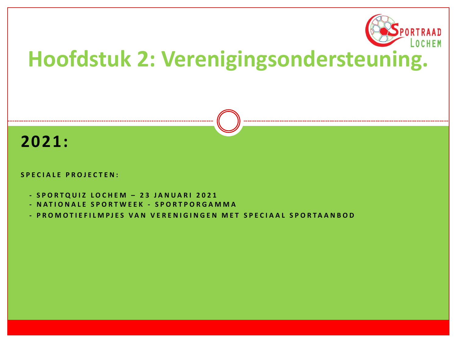

# **Hoofdstuk 2: Verenigingsondersteuning.**

#### **2021:**

#### **SPECIALE PROJECTEN:**

- **- S P O R T Q U I Z L O C H E M – 2 3 J A N U A R I 2 0 2 1**
- **- N A T I O N A L E S P O R T W E E K - S P O R T P O R G A M M A**
- **- P R O M O T I E F I L M P J E S V A N V E R E N I G I N G E N M E T S P E C I A A L S P O R T A A N B O D**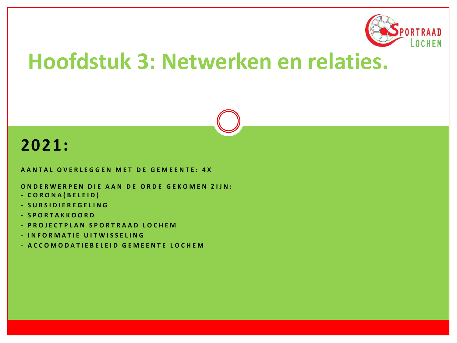

## **Hoofdstuk 3: Netwerken en relaties.**

#### **2021:**

**A ANTAL OVERLEGGEN MET DE GEMEENTE: 4X** 

**ONDERWERPEN DIE AAN DE ORDE GEKOMEN ZIJN:** 

- **- C O R O N A ( B E L E I D )**
- **- S U B S I D I E R E G E L I N G**
- **- S P O R T A K K O O R D**
- **- P R O J E C T P L A N S P O R T R A A D L O C H E M**
- **- I N F O R M A T I E U I T W I S S E L I N G**
- **- A C C O M O D A T I E B E L E I D G E M E E N T E L O C H E M**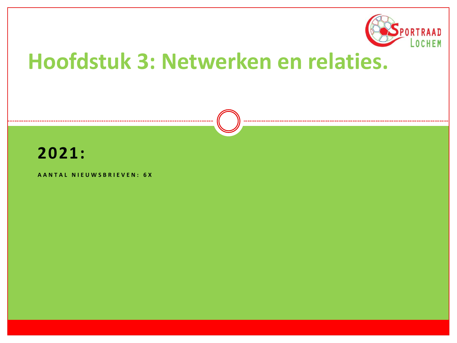

## **Hoofdstuk 3: Netwerken en relaties.**



#### **A A N T A L N I E U W S B R I E V E N : 6 X**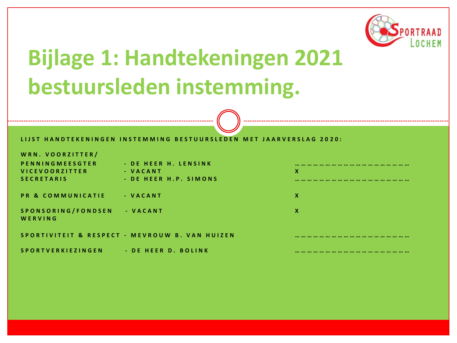

# **Bijlage 1: Handtekeningen 2021 bestuursleden instemming.**

#### LIJST HANDTEKENINGEN INSTEMMING BESTUURSLEDEN MET JAARVERSLAG 2020:

**W R N . V O O R Z I T T E R /**

**P E N N I N G M E E S G T E R - D E H E E R H . L E N S I N K ………………………………………………… V I C E V O O R Z I T T E R - V A C A N T X S E C R E T A R I S - D E H E E R H . P . S I M O N S …………………………………………………**

**P R & C O M M U N I C A T I E - V A C A N T X**

**S P O N S O R I N G / F O N D S E N - V A C A N T X W E R V I N G**

**S P O R T I V I T E I T & R E S P E C T - M E V R O U W B . V A N H U I Z E N ………………………………………… ………**

**S P O R T V E R K I E Z I N G E N - D E H E E R D . B O L I N K …………………………………………………**

| X |  |   |
|---|--|---|
|   |  | . |
| X |  |   |
| X |  |   |
|   |  |   |
|   |  |   |